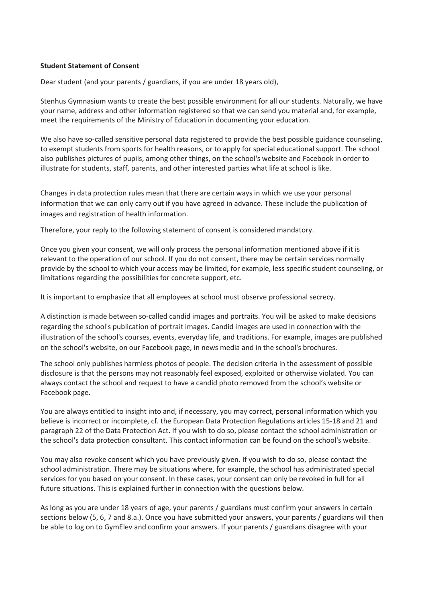#### **Student Statement of Consent**

Dear student (and your parents / guardians, if you are under 18 years old),

Stenhus Gymnasium wants to create the best possible environment for all our students. Naturally, we have your name, address and other information registered so that we can send you material and, for example, meet the requirements of the Ministry of Education in documenting your education.

We also have so-called sensitive personal data registered to provide the best possible guidance counseling, to exempt students from sports for health reasons, or to apply for special educational support. The school also publishes pictures of pupils, among other things, on the school's website and Facebook in order to illustrate for students, staff, parents, and other interested parties what life at school is like.

Changes in data protection rules mean that there are certain ways in which we use your personal information that we can only carry out if you have agreed in advance. These include the publication of images and registration of health information.

Therefore, your reply to the following statement of consent is considered mandatory.

Once you given your consent, we will only process the personal information mentioned above if it is relevant to the operation of our school. If you do not consent, there may be certain services normally provide by the school to which your access may be limited, for example, less specific student counseling, or limitations regarding the possibilities for concrete support, etc.

It is important to emphasize that all employees at school must observe professional secrecy.

A distinction is made between so-called candid images and portraits. You will be asked to make decisions regarding the school's publication of portrait images. Candid images are used in connection with the illustration of the school's courses, events, everyday life, and traditions. For example, images are published on the school's website, on our Facebook page, in news media and in the school's brochures.

The school only publishes harmless photos of people. The decision criteria in the assessment of possible disclosure is that the persons may not reasonably feel exposed, exploited or otherwise violated. You can always contact the school and request to have a candid photo removed from the school's website or Facebook page.

You are always entitled to insight into and, if necessary, you may correct, personal information which you believe is incorrect or incomplete, cf. the European Data Protection Regulations articles 15-18 and 21 and paragraph 22 of the Data Protection Act. If you wish to do so, please contact the school administration or the school's data protection consultant. This contact information can be found on the school's website.

You may also revoke consent which you have previously given. If you wish to do so, please contact the school administration. There may be situations where, for example, the school has administrated special services for you based on your consent. In these cases, your consent can only be revoked in full for all future situations. This is explained further in connection with the questions below.

As long as you are under 18 years of age, your parents / guardians must confirm your answers in certain sections below (5, 6, 7 and 8.a.). Once you have submitted your answers, your parents / guardians will then be able to log on to GymElev and confirm your answers. If your parents / guardians disagree with your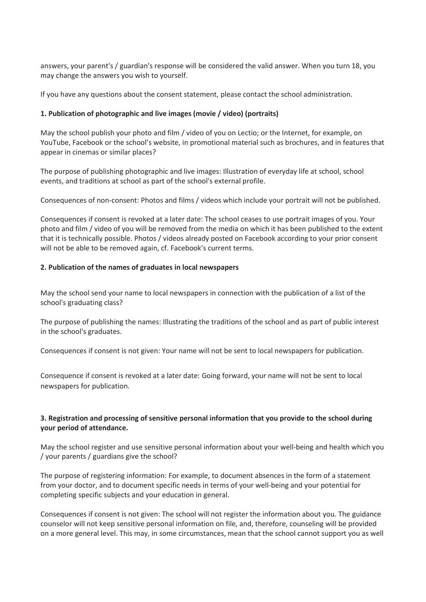answers, your parent's / guardian's response will be considered the valid answer. When you turn 18, you may change the answers you wish to yourself.

If you have any questions about the consent statement, please contact the school administration.

## **1. Publication of photographic and live images (movie / video) (portraits)**

May the school publish your photo and film / video of you on Lectio; or the Internet, for example, on YouTube, Facebook or the school's website, in promotional material such as brochures, and in features that appear in cinemas or similar places?

The purpose of publishing photographic and live images: Illustration of everyday life at school, school events, and traditions at school as part of the school's external profile.

Consequences of non-consent: Photos and films / videos which include your portrait will not be published.

Consequences if consent is revoked at a later date: The school ceases to use portrait images of you. Your photo and film / video of you will be removed from the media on which it has been published to the extent that it is technically possible. Photos / videos already posted on Facebook according to your prior consent will not be able to be removed again, cf. Facebook's current terms.

### **2. Publication of the names of graduates in local newspapers**

May the school send your name to local newspapers in connection with the publication of a list of the school's graduating class?

The purpose of publishing the names: Illustrating the traditions of the school and as part of public interest in the school's graduates.

Consequences if consent is not given: Your name will not be sent to local newspapers for publication.

Consequence if consent is revoked at a later date: Going forward, your name will not be sent to local newspapers for publication.

# **3. Registration and processing of sensitive personal information that you provide to the school during your period of attendance.**

May the school register and use sensitive personal information about your well-being and health which you / your parents / guardians give the school?

The purpose of registering information: For example, to document absences in the form of a statement from your doctor, and to document specific needs in terms of your well-being and your potential for completing specific subjects and your education in general.

Consequences if consent is not given: The school will not register the information about you. The guidance counselor will not keep sensitive personal information on file, and, therefore, counseling will be provided on a more general level. This may, in some circumstances, mean that the school cannot support you as well